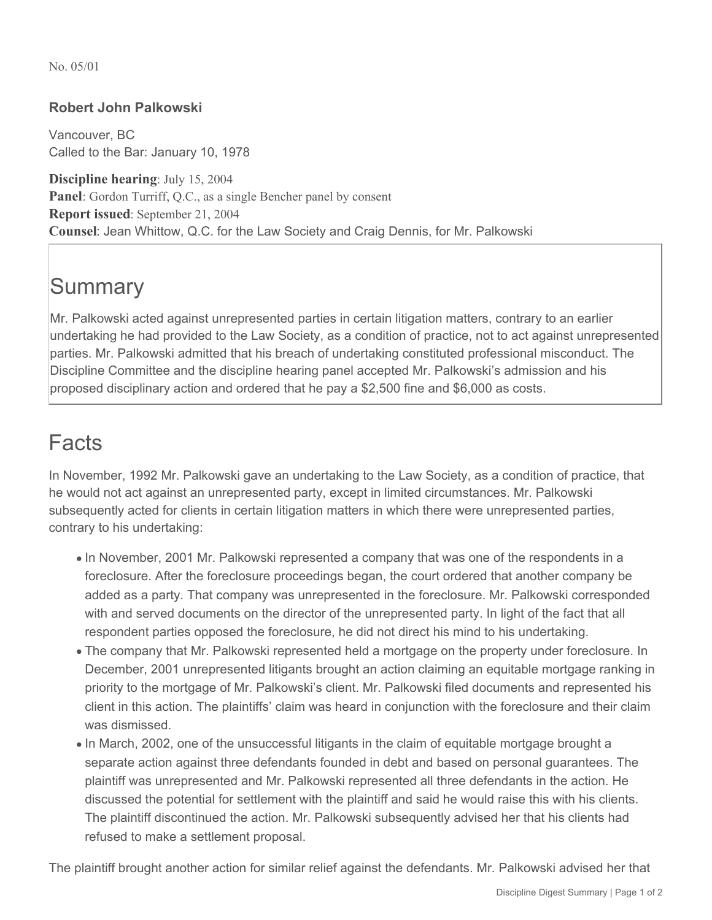No. 05/01

## **Robert John Palkowski**

Vancouver, BC Called to the Bar: January 10, 1978

**Discipline hearing**: July 15, 2004 **Panel**: Gordon Turriff, Q.C., as a single Bencher panel by consent **Report issued**: September 21, 2004 **Counsel**: Jean Whittow, Q.C. for the Law Society and Craig Dennis, for Mr. Palkowski

## **Summary**

Mr. Palkowski acted against unrepresented parties in certain litigation matters, contrary to an earlier undertaking he had provided to the Law Society, as a condition of practice, not to act against unrepresented parties. Mr. Palkowski admitted that his breach of undertaking constituted professional misconduct. The Discipline Committee and the discipline hearing panel accepted Mr. Palkowski's admission and his proposed disciplinary action and ordered that he pay a \$2,500 fine and \$6,000 as costs.

## Facts

In November, 1992 Mr. Palkowski gave an undertaking to the Law Society, as a condition of practice, that he would not act against an unrepresented party, except in limited circumstances. Mr. Palkowski subsequently acted for clients in certain litigation matters in which there were unrepresented parties, contrary to his undertaking:

- In November, 2001 Mr. Palkowski represented a company that was one of the respondents in a foreclosure. After the foreclosure proceedings began, the court ordered that another company be added as a party. That company was unrepresented in the foreclosure. Mr. Palkowski corresponded with and served documents on the director of the unrepresented party. In light of the fact that all respondent parties opposed the foreclosure, he did not direct his mind to his undertaking.
- The company that Mr. Palkowski represented held a mortgage on the property under foreclosure. In December, 2001 unrepresented litigants brought an action claiming an equitable mortgage ranking in priority to the mortgage of Mr. Palkowski's client. Mr. Palkowski filed documents and represented his client in this action. The plaintiffs' claim was heard in conjunction with the foreclosure and their claim was dismissed.
- In March, 2002, one of the unsuccessful litigants in the claim of equitable mortgage brought a separate action against three defendants founded in debt and based on personal guarantees. The plaintiff was unrepresented and Mr. Palkowski represented all three defendants in the action. He discussed the potential for settlement with the plaintiff and said he would raise this with his clients. The plaintiff discontinued the action. Mr. Palkowski subsequently advised her that his clients had refused to make a settlement proposal.

The plaintiff brought another action for similar relief against the defendants. Mr. Palkowski advised her that